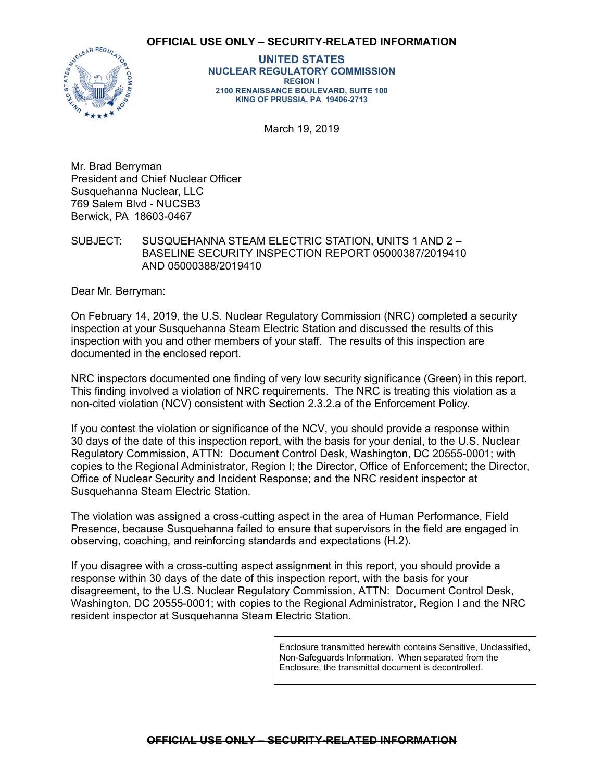### **OFFICIAL USE ONLY – SECURITY-RELATED INFORMATION**



**UNITED STATES NUCLEAR REGULATORY COMMISSION REGION I 2100 RENAISSANCE BOULEVARD, SUITE 100 KING OF PRUSSIA, PA 19406-2713** 

March 19, 2019

Mr. Brad Berryman President and Chief Nuclear Officer Susquehanna Nuclear, LLC 769 Salem Blvd - NUCSB3 Berwick, PA 18603-0467

SUBJECT: SUSQUEHANNA STEAM ELECTRIC STATION, UNITS 1 AND 2 – BASELINE SECURITY INSPECTION REPORT 05000387/2019410 AND 05000388/2019410

Dear Mr. Berryman:

On February 14, 2019, the U.S. Nuclear Regulatory Commission (NRC) completed a security inspection at your Susquehanna Steam Electric Station and discussed the results of this inspection with you and other members of your staff. The results of this inspection are documented in the enclosed report.

NRC inspectors documented one finding of very low security significance (Green) in this report. This finding involved a violation of NRC requirements. The NRC is treating this violation as a non-cited violation (NCV) consistent with Section 2.3.2.a of the Enforcement Policy.

If you contest the violation or significance of the NCV, you should provide a response within 30 days of the date of this inspection report, with the basis for your denial, to the U.S. Nuclear Regulatory Commission, ATTN: Document Control Desk, Washington, DC 20555-0001; with copies to the Regional Administrator, Region I; the Director, Office of Enforcement; the Director, Office of Nuclear Security and Incident Response; and the NRC resident inspector at Susquehanna Steam Electric Station.

The violation was assigned a cross-cutting aspect in the area of Human Performance, Field Presence, because Susquehanna failed to ensure that supervisors in the field are engaged in observing, coaching, and reinforcing standards and expectations (H.2).

If you disagree with a cross-cutting aspect assignment in this report, you should provide a response within 30 days of the date of this inspection report, with the basis for your disagreement, to the U.S. Nuclear Regulatory Commission, ATTN: Document Control Desk, Washington, DC 20555-0001; with copies to the Regional Administrator, Region I and the NRC resident inspector at Susquehanna Steam Electric Station.

> Enclosure transmitted herewith contains Sensitive, Unclassified, Non-Safeguards Information. When separated from the Enclosure, the transmittal document is decontrolled.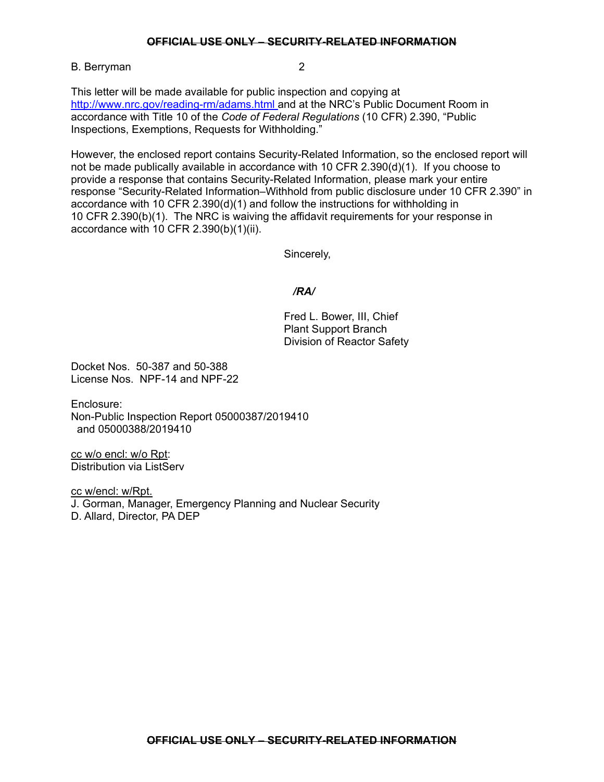## **OFFICIAL USE ONLY – SECURITY-RELATED INFORMATION**

B. Berryman 2

This letter will be made available for public inspection and copying at http://www.nrc.gov/reading-rm/adams.html and at the NRC's Public Document Room in accordance with Title 10 of the *Code of Federal Regulations* (10 CFR) 2.390, "Public Inspections, Exemptions, Requests for Withholding."

However, the enclosed report contains Security-Related Information, so the enclosed report will not be made publically available in accordance with 10 CFR 2.390(d)(1). If you choose to provide a response that contains Security-Related Information, please mark your entire response "Security-Related Information–Withhold from public disclosure under 10 CFR 2.390" in accordance with 10 CFR 2.390(d)(1) and follow the instructions for withholding in 10 CFR 2.390(b)(1). The NRC is waiving the affidavit requirements for your response in accordance with 10 CFR 2.390(b)(1)(ii).

Sincerely,

# */RA/*

Fred L. Bower, III, Chief Plant Support Branch Division of Reactor Safety

Docket Nos. 50-387 and 50-388 License Nos. NPF-14 and NPF-22

Enclosure: Non-Public Inspection Report 05000387/2019410 and 05000388/2019410

cc w/o encl: w/o Rpt: Distribution via ListServ

cc w/encl: w/Rpt. J. Gorman, Manager, Emergency Planning and Nuclear Security D. Allard, Director, PA DEP